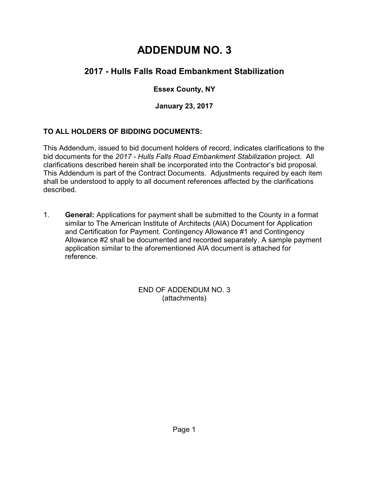# **ADDENDUM NO. 3**

## **2017 - Hulls Falls Road Embankment Stabilization**

### **Essex County, NY**

**January 23, 2017**

#### **TO ALL HOLDERS OF BIDDING DOCUMENTS:**

This Addendum, issued to bid document holders of record, indicates clarifications to the bid documents for the *2017 - Hulls Falls Road Embankment Stabilization* project. All clarifications described herein shall be incorporated into the Contractor's bid proposal. This Addendum is part of the Contract Documents. Adjustments required by each item shall be understood to apply to all document references affected by the clarifications described.

1. **General:** Applications for payment shall be submitted to the County in a format similar to The American Institute of Architects (AIA) Document for Application and Certification for Payment. Contingency Allowance #1 and Contingency Allowance #2 shall be documented and recorded separately. A sample payment application similar to the aforementioned AIA document is attached for reference.

> END OF ADDENDUM NO. 3 (attachments)